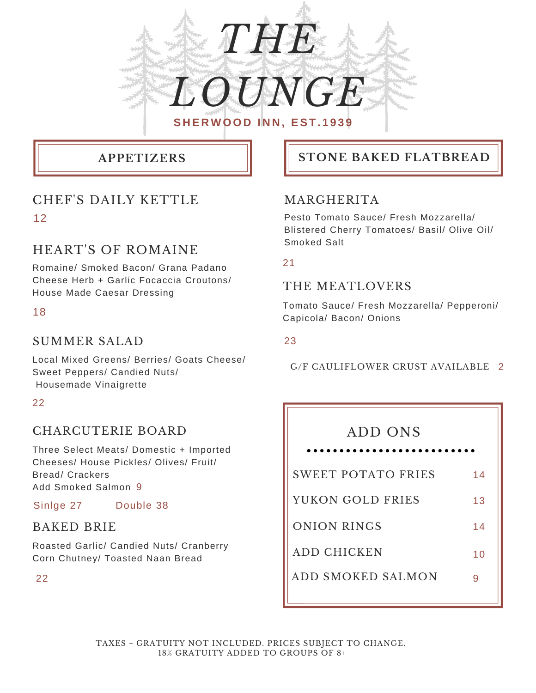

# CHEF'S DAILY KETTLE 12

# HEART'S OF ROMAINE

Romaine/ Smoked Bacon/ Grana Padano Cheese Herb + Garlic Focaccia Croutons/ House Made Caesar Dressing

18

# SUMMER SALAD

Local Mixed Greens/ Berries/ Goats Cheese/ Sweet Peppers/ Candied Nuts/ Housemade Vinaigrette

### 22

# CHARCUTERIE BOARD

Three Select Meats/ Domestic + Imported Cheeses/ House Pickles/ Olives/ Fruit/ Bread/ Crackers Add Smoked Salmon 9

Sinlge 27 Double 38

# BAKED BRIE

Roasted Garlic/ Candied Nuts/ Cranberry Corn Chutney/ Toasted Naan Bread

22

# **APPETIZERS STONE BAKED FLATBREAD**

# MARGHERITA

Pesto Tomato Sauce/ Fresh Mozzarella/ Blistered Cherry Tomatoes/ Basil/ Olive Oil/ Smoked Salt

21

## THE MEATLOVERS

Tomato Sauce/ Fresh Mozzarella/ Pepperoni/ Capicola/ Bacon/ Onions

#### 23

G/F CAULIFLOWER CRUST AVAILABLE 2

# ADD ONS

| .                  |    |
|--------------------|----|
| SWEET POTATO FRIES | 14 |
| YUKON GOLD FRIES   | 13 |
| <b>ONION RINGS</b> | 14 |
| ADD CHICKEN        | 10 |
| ADD SMOKED SALMON  |    |
|                    |    |

TAXES + GRATUITY NOT INCLUDED. PRICES SUBJECT TO CHANGE. 18% GRATUITY ADDED TO GROUPS OF 8+